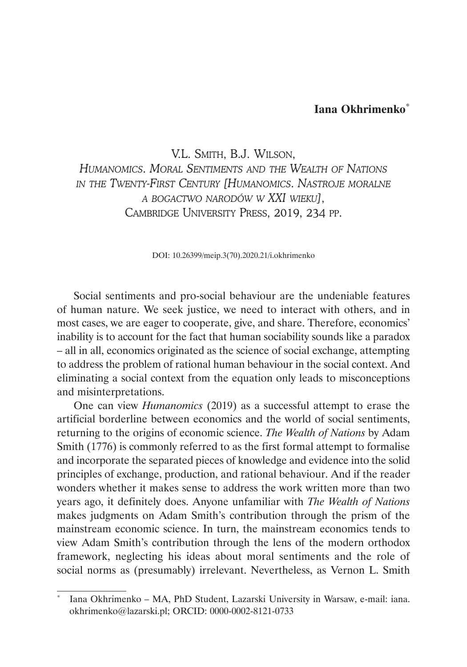## **Iana Okhrimenko**\*

V.L. Smith, B.J. Wilson, *Humanomics. Moral Sentiments and the Wealth of Nations in the Twenty-First Century [Humanomics. Nastroje moralne a bogactwo narodów w XXI wieku]*, Cambridge University Press, 2019, 234 pp.

DOI: 10.26399/meip.3(70).2020.21/i.okhrimenko

Social sentiments and pro-social behaviour are the undeniable features of human nature. We seek justice, we need to interact with others, and in most cases, we are eager to cooperate, give, and share. Therefore, economics' inability is to account for the fact that human sociability sounds like a paradox – all in all, economics originated as the science of social exchange, attempting to address the problem of rational human behaviour in the social context. And eliminating a social context from the equation only leads to misconceptions and misinterpretations.

One can view *Humanomics* (2019) as a successful attempt to erase the artificial borderline between economics and the world of social sentiments, returning to the origins of economic science. *The Wealth of Nations* by Adam Smith (1776) is commonly referred to as the first formal attempt to formalise and incorporate the separated pieces of knowledge and evidence into the solid principles of exchange, production, and rational behaviour. And if the reader wonders whether it makes sense to address the work written more than two years ago, it definitely does. Anyone unfamiliar with *The Wealth of Nations*  makes judgments on Adam Smith's contribution through the prism of the mainstream economic science. In turn, the mainstream economics tends to view Adam Smith's contribution through the lens of the modern orthodox framework, neglecting his ideas about moral sentiments and the role of social norms as (presumably) irrelevant. Nevertheless, as Vernon L. Smith

<sup>\*</sup> Iana Okhrimenko – MA, PhD Student, Lazarski University in Warsaw, e-mail: iana. okhrimenko@lazarski.pl; ORCID: 0000-0002-8121-0733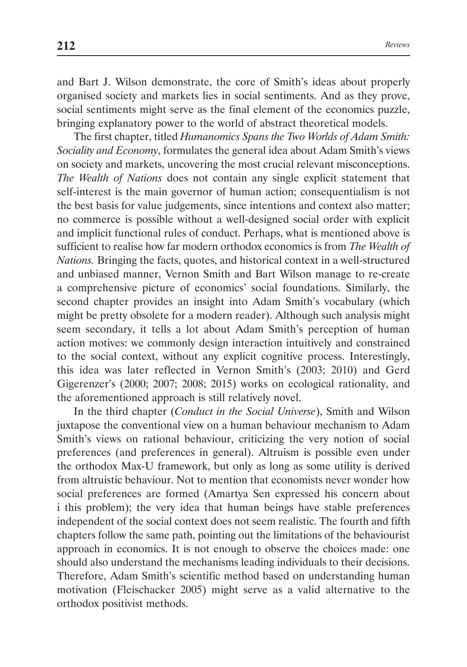and Bart J. Wilson demonstrate, the core of Smith's ideas about properly organised society and markets lies in social sentiments. And as they prove, social sentiments might serve as the final element of the economics puzzle, bringing explanatory power to the world of abstract theoretical models.

The first chapter, titled *Humanomics Spans the Two Worlds of Adam Smith: Sociality and Economy*, formulates the general idea about Adam Smith's views on society and markets, uncovering the most crucial relevant misconceptions. *The Wealth of Nations* does not contain any single explicit statement that self-interest is the main governor of human action; consequentialism is not the best basis for value judgements, since intentions and context also matter; no commerce is possible without a well-designed social order with explicit and implicit functional rules of conduct. Perhaps, what is mentioned above is sufficient to realise how far modern orthodox economics is from *The Wealth of Nations.* Bringing the facts, quotes, and historical context in a well-structured and unbiased manner, Vernon Smith and Bart Wilson manage to re-create a comprehensive picture of economics' social foundations. Similarly, the second chapter provides an insight into Adam Smith's vocabulary (which might be pretty obsolete for a modern reader). Although such analysis might seem secondary, it tells a lot about Adam Smith's perception of human action motives: we commonly design interaction intuitively and constrained to the social context, without any explicit cognitive process. Interestingly, this idea was later reflected in Vernon Smith's (2003; 2010) and Gerd Gigerenzer's (2000; 2007; 2008; 2015) works on ecological rationality, and the aforementioned approach is still relatively novel.

In the third chapter (*Conduct in the Social Universe*), Smith and Wilson juxtapose the conventional view on a human behaviour mechanism to Adam Smith's views on rational behaviour, criticizing the very notion of social preferences (and preferences in general). Altruism is possible even under the orthodox Max-U framework, but only as long as some utility is derived from altruistic behaviour. Not to mention that economists never wonder how social preferences are formed (Amartya Sen expressed his concern about i this problem); the very idea that human beings have stable preferences independent of the social context does not seem realistic. The fourth and fifth chapters follow the same path, pointing out the limitations of the behaviourist approach in economics. It is not enough to observe the choices made: one should also understand the mechanisms leading individuals to their decisions. Therefore, Adam Smith's scientific method based on understanding human motivation (Fleischacker 2005) might serve as a valid alternative to the orthodox positivist methods.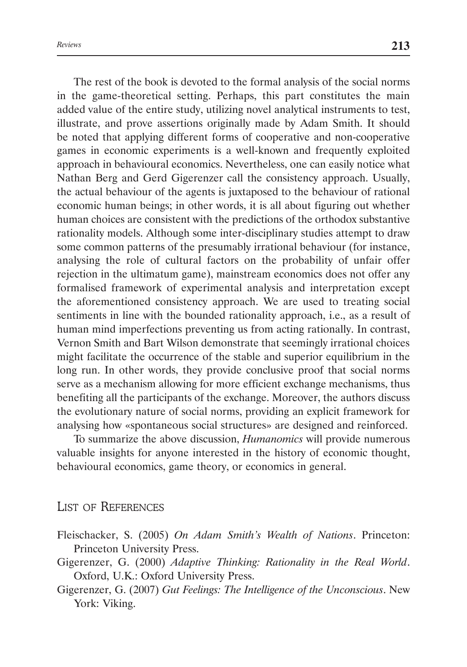The rest of the book is devoted to the formal analysis of the social norms in the game-theoretical setting. Perhaps, this part constitutes the main added value of the entire study, utilizing novel analytical instruments to test, illustrate, and prove assertions originally made by Adam Smith. It should be noted that applying different forms of cooperative and non-cooperative games in economic experiments is a well-known and frequently exploited approach in behavioural economics. Nevertheless, one can easily notice what Nathan Berg and Gerd Gigerenzer call the consistency approach. Usually, the actual behaviour of the agents is juxtaposed to the behaviour of rational economic human beings; in other words, it is all about figuring out whether human choices are consistent with the predictions of the orthodox substantive rationality models. Although some inter-disciplinary studies attempt to draw some common patterns of the presumably irrational behaviour (for instance, analysing the role of cultural factors on the probability of unfair offer rejection in the ultimatum game), mainstream economics does not offer any formalised framework of experimental analysis and interpretation except the aforementioned consistency approach. We are used to treating social sentiments in line with the bounded rationality approach, i.e., as a result of human mind imperfections preventing us from acting rationally. In contrast, Vernon Smith and Bart Wilson demonstrate that seemingly irrational choices might facilitate the occurrence of the stable and superior equilibrium in the long run. In other words, they provide conclusive proof that social norms serve as a mechanism allowing for more efficient exchange mechanisms, thus benefiting all the participants of the exchange. Moreover, the authors discuss the evolutionary nature of social norms, providing an explicit framework for analysing how «spontaneous social structures» are designed and reinforced.

To summarize the above discussion, *Humanomics* will provide numerous valuable insights for anyone interested in the history of economic thought, behavioural economics, game theory, or economics in general.

List of References

- Fleischacker, S. (2005) *On Adam Smith's Wealth of Nations*. Princeton: Princeton University Press.
- Gigerenzer, G. (2000) *Adaptive Thinking: Rationality in the Real World*. Oxford, U.K.: Oxford University Press.
- Gigerenzer, G. (2007) *Gut Feelings: The Intelligence of the Unconscious*. New York: Viking.